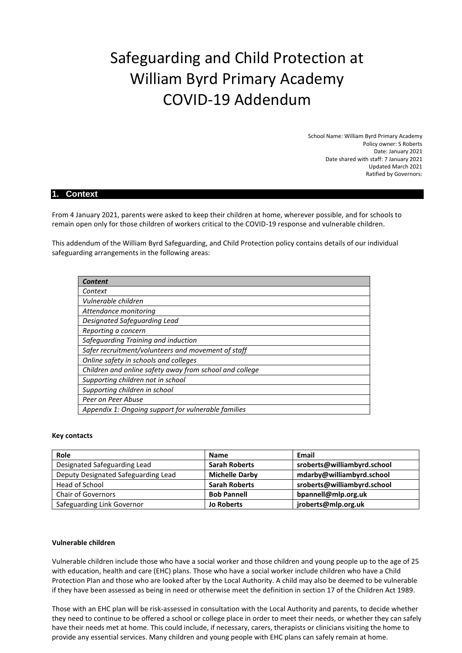# Safeguarding and Child Protection at William Byrd Primary Academy COVID-19 Addendum

School Name: William Byrd Primary Academy Policy owner: S Roberts Date: January 2021 Date shared with staff: 7 January 2021 Updated March 2021 Ratified by Governors:

## **1. Context**

From 4 January 2021, parents were asked to keep their children at home, wherever possible, and for schools to remain open only for those children of workers critical to the COVID-19 response and vulnerable children.

This addendum of the William Byrd Safeguarding, and Child Protection policy contains details of our individual safeguarding arrangements in the following areas:

| Content                                                 |
|---------------------------------------------------------|
| Context                                                 |
| Vulnerable children                                     |
| Attendance monitoring                                   |
| Designated Safeguarding Lead                            |
| Reporting a concern                                     |
| Safeguarding Training and induction                     |
| Safer recruitment/volunteers and movement of staff      |
| Online safety in schools and colleges                   |
| Children and online safety away from school and college |
| Supporting children not in school                       |
| Supporting children in school                           |
| Peer on Peer Abuse                                      |
| Appendix 1: Ongoing support for vulnerable families     |

#### **Key contacts**

| Role                                | <b>Name</b>           | Email                       |
|-------------------------------------|-----------------------|-----------------------------|
| Designated Safeguarding Lead        | <b>Sarah Roberts</b>  | sroberts@williambyrd.school |
| Deputy Designated Safeguarding Lead | <b>Michelle Darby</b> | mdarby@williambyrd.school   |
| Head of School                      | <b>Sarah Roberts</b>  | sroberts@williambyrd.school |
| <b>Chair of Governors</b>           | <b>Bob Pannell</b>    | bpannell@mlp.org.uk         |
| Safeguarding Link Governor          | <b>Jo Roberts</b>     | jroberts@mlp.org.uk         |

## **Vulnerable children**

Vulnerable children include those who have a social worker and those children and young people up to the age of 25 with education, health and care (EHC) plans. Those who have a social worker include children who have a Child Protection Plan and those who are looked after by the Local Authority. A child may also be deemed to be vulnerable if they have been assessed as being in need or otherwise meet the definition in section 17 of the Children Act 1989.

Those with an EHC plan will be risk-assessed in consultation with the Local Authority and parents, to decide whether they need to continue to be offered a school or college place in order to meet their needs, or whether they can safely have their needs met at home. This could include, if necessary, carers, therapists or clinicians visiting the home to provide any essential services. Many children and young people with EHC plans can safely remain at home.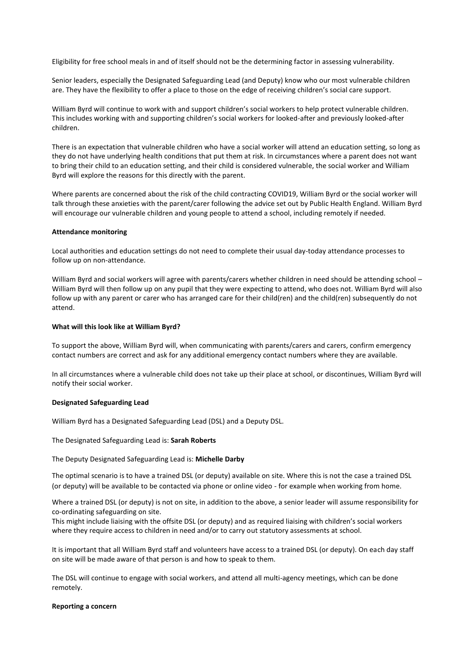Eligibility for free school meals in and of itself should not be the determining factor in assessing vulnerability.

Senior leaders, especially the Designated Safeguarding Lead (and Deputy) know who our most vulnerable children are. They have the flexibility to offer a place to those on the edge of receiving children's social care support.

William Byrd will continue to work with and support children's social workers to help protect vulnerable children. This includes working with and supporting children's social workers for looked-after and previously looked-after children.

There is an expectation that vulnerable children who have a social worker will attend an education setting, so long as they do not have underlying health conditions that put them at risk. In circumstances where a parent does not want to bring their child to an education setting, and their child is considered vulnerable, the social worker and William Byrd will explore the reasons for this directly with the parent.

Where parents are concerned about the risk of the child contracting COVID19, William Byrd or the social worker will talk through these anxieties with the parent/carer following the advice set out by Public Health England. William Byrd will encourage our vulnerable children and young people to attend a school, including remotely if needed.

## **Attendance monitoring**

Local authorities and education settings do not need to complete their usual day-today attendance processes to follow up on non-attendance.

William Byrd and social workers will agree with parents/carers whether children in need should be attending school -William Byrd will then follow up on any pupil that they were expecting to attend, who does not. William Byrd will also follow up with any parent or carer who has arranged care for their child(ren) and the child(ren) subsequently do not attend.

### **What will this look like at William Byrd?**

To support the above, William Byrd will, when communicating with parents/carers and carers, confirm emergency contact numbers are correct and ask for any additional emergency contact numbers where they are available.

In all circumstances where a vulnerable child does not take up their place at school, or discontinues, William Byrd will notify their social worker.

#### **Designated Safeguarding Lead**

William Byrd has a Designated Safeguarding Lead (DSL) and a Deputy DSL.

#### The Designated Safeguarding Lead is: **Sarah Roberts**

## The Deputy Designated Safeguarding Lead is: **Michelle Darby**

The optimal scenario is to have a trained DSL (or deputy) available on site. Where this is not the case a trained DSL (or deputy) will be available to be contacted via phone or online video - for example when working from home.

Where a trained DSL (or deputy) is not on site, in addition to the above, a senior leader will assume responsibility for co-ordinating safeguarding on site.

This might include liaising with the offsite DSL (or deputy) and as required liaising with children's social workers where they require access to children in need and/or to carry out statutory assessments at school.

It is important that all William Byrd staff and volunteers have access to a trained DSL (or deputy). On each day staff on site will be made aware of that person is and how to speak to them.

The DSL will continue to engage with social workers, and attend all multi-agency meetings, which can be done remotely.

#### **Reporting a concern**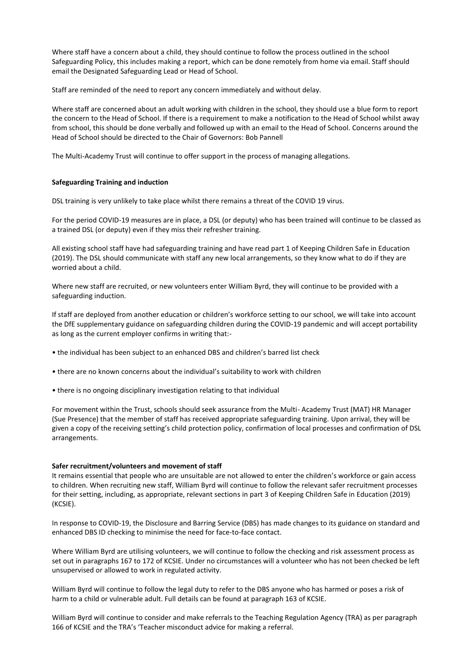Where staff have a concern about a child, they should continue to follow the process outlined in the school Safeguarding Policy, this includes making a report, which can be done remotely from home via email. Staff should email the Designated Safeguarding Lead or Head of School.

Staff are reminded of the need to report any concern immediately and without delay.

Where staff are concerned about an adult working with children in the school, they should use a blue form to report the concern to the Head of School. If there is a requirement to make a notification to the Head of School whilst away from school, this should be done verbally and followed up with an email to the Head of School. Concerns around the Head of School should be directed to the Chair of Governors: Bob Pannell

The Multi-Academy Trust will continue to offer support in the process of managing allegations.

## **Safeguarding Training and induction**

DSL training is very unlikely to take place whilst there remains a threat of the COVID 19 virus.

For the period COVID-19 measures are in place, a DSL (or deputy) who has been trained will continue to be classed as a trained DSL (or deputy) even if they miss their refresher training.

All existing school staff have had safeguarding training and have read part 1 of Keeping Children Safe in Education (2019). The DSL should communicate with staff any new local arrangements, so they know what to do if they are worried about a child.

Where new staff are recruited, or new volunteers enter William Byrd, they will continue to be provided with a safeguarding induction.

If staff are deployed from another education or children's workforce setting to our school, we will take into account the DfE supplementary guidance on safeguarding children during the COVID-19 pandemic and will accept portability as long as the current employer confirms in writing that:-

- the individual has been subject to an enhanced DBS and children's barred list check
- there are no known concerns about the individual's suitability to work with children
- there is no ongoing disciplinary investigation relating to that individual

For movement within the Trust, schools should seek assurance from the Multi- Academy Trust (MAT) HR Manager (Sue Presence) that the member of staff has received appropriate safeguarding training. Upon arrival, they will be given a copy of the receiving setting's child protection policy, confirmation of local processes and confirmation of DSL arrangements.

#### **Safer recruitment/volunteers and movement of staff**

It remains essential that people who are unsuitable are not allowed to enter the children's workforce or gain access to children. When recruiting new staff, William Byrd will continue to follow the relevant safer recruitment processes for their setting, including, as appropriate, relevant sections in part 3 of Keeping Children Safe in Education (2019) (KCSIE).

In response to COVID-19, the Disclosure and Barring Service (DBS) has made changes to its guidance on standard and enhanced DBS ID checking to minimise the need for face-to-face contact.

Where William Byrd are utilising volunteers, we will continue to follow the checking and risk assessment process as set out in paragraphs 167 to 172 of KCSIE. Under no circumstances will a volunteer who has not been checked be left unsupervised or allowed to work in regulated activity.

William Byrd will continue to follow the legal duty to refer to the DBS anyone who has harmed or poses a risk of harm to a child or vulnerable adult. Full details can be found at paragraph 163 of KCSIE.

William Byrd will continue to consider and make referrals to the Teaching Regulation Agency (TRA) as per paragraph 166 of KCSIE and the TRA's 'Teacher misconduct advice for making a referral.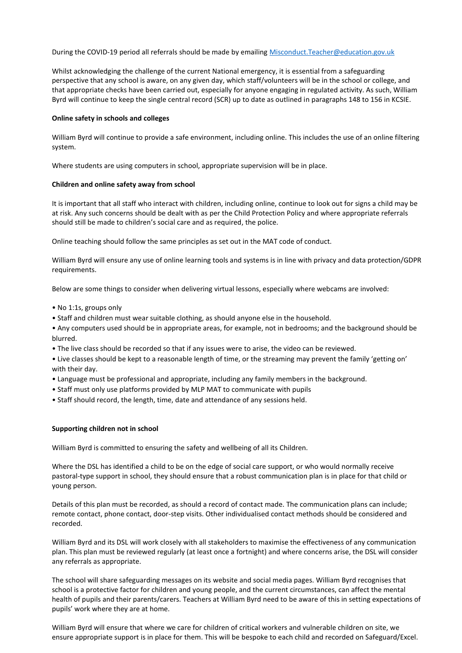During the COVID-19 period all referrals should be made by emailing [Misconduct.Teacher@education.gov.uk](mailto:Misconduct.Teacher@education.gov.uk)

Whilst acknowledging the challenge of the current National emergency, it is essential from a safeguarding perspective that any school is aware, on any given day, which staff/volunteers will be in the school or college, and that appropriate checks have been carried out, especially for anyone engaging in regulated activity. As such, William Byrd will continue to keep the single central record (SCR) up to date as outlined in paragraphs 148 to 156 in KCSIE.

### **Online safety in schools and colleges**

William Byrd will continue to provide a safe environment, including online. This includes the use of an online filtering system.

Where students are using computers in school, appropriate supervision will be in place.

#### **Children and online safety away from school**

It is important that all staff who interact with children, including online, continue to look out for signs a child may be at risk. Any such concerns should be dealt with as per the Child Protection Policy and where appropriate referrals should still be made to children's social care and as required, the police.

Online teaching should follow the same principles as set out in the MAT code of conduct.

William Byrd will ensure any use of online learning tools and systems is in line with privacy and data protection/GDPR requirements.

Below are some things to consider when delivering virtual lessons, especially where webcams are involved:

- No 1:1s, groups only
- Staff and children must wear suitable clothing, as should anyone else in the household.
- Any computers used should be in appropriate areas, for example, not in bedrooms; and the background should be blurred.
- The live class should be recorded so that if any issues were to arise, the video can be reviewed.
- Live classes should be kept to a reasonable length of time, or the streaming may prevent the family 'getting on' with their day.
- Language must be professional and appropriate, including any family members in the background.
- Staff must only use platforms provided by MLP MAT to communicate with pupils
- Staff should record, the length, time, date and attendance of any sessions held.

#### **Supporting children not in school**

William Byrd is committed to ensuring the safety and wellbeing of all its Children.

Where the DSL has identified a child to be on the edge of social care support, or who would normally receive pastoral-type support in school, they should ensure that a robust communication plan is in place for that child or young person.

Details of this plan must be recorded, as should a record of contact made. The communication plans can include; remote contact, phone contact, door-step visits. Other individualised contact methods should be considered and recorded.

William Byrd and its DSL will work closely with all stakeholders to maximise the effectiveness of any communication plan. This plan must be reviewed regularly (at least once a fortnight) and where concerns arise, the DSL will consider any referrals as appropriate.

The school will share safeguarding messages on its website and social media pages. William Byrd recognises that school is a protective factor for children and young people, and the current circumstances, can affect the mental health of pupils and their parents/carers. Teachers at William Byrd need to be aware of this in setting expectations of pupils' work where they are at home.

William Byrd will ensure that where we care for children of critical workers and vulnerable children on site, we ensure appropriate support is in place for them. This will be bespoke to each child and recorded on Safeguard/Excel.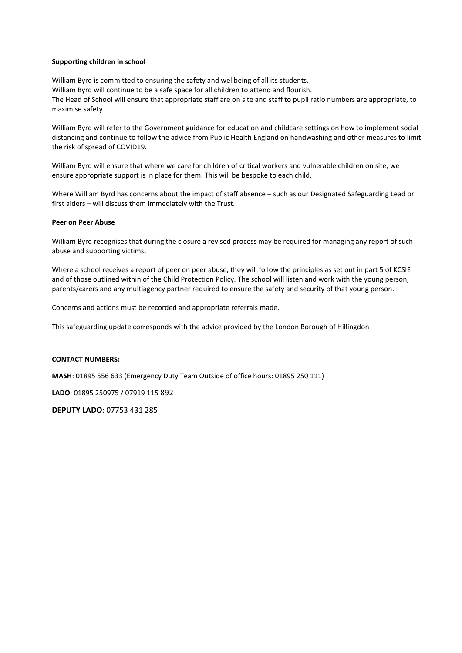### **Supporting children in school**

William Byrd is committed to ensuring the safety and wellbeing of all its students. William Byrd will continue to be a safe space for all children to attend and flourish. The Head of School will ensure that appropriate staff are on site and staff to pupil ratio numbers are appropriate, to maximise safety.

William Byrd will refer to the Government guidance for education and childcare settings on how to implement social distancing and continue to follow the advice from Public Health England on handwashing and other measures to limit the risk of spread of COVID19.

William Byrd will ensure that where we care for children of critical workers and vulnerable children on site, we ensure appropriate support is in place for them. This will be bespoke to each child.

Where William Byrd has concerns about the impact of staff absence – such as our Designated Safeguarding Lead or first aiders – will discuss them immediately with the Trust.

#### **Peer on Peer Abuse**

William Byrd recognises that during the closure a revised process may be required for managing any report of such abuse and supporting victims**.**

Where a school receives a report of peer on peer abuse, they will follow the principles as set out in part 5 of KCSIE and of those outlined within of the Child Protection Policy. The school will listen and work with the young person, parents/carers and any multiagency partner required to ensure the safety and security of that young person.

Concerns and actions must be recorded and appropriate referrals made.

This safeguarding update corresponds with the advice provided by the London Borough of Hillingdon

#### **CONTACT NUMBERS:**

**MASH**: 01895 556 633 (Emergency Duty Team Outside of office hours: 01895 250 111)

**LADO**: 01895 250975 / 07919 115 892

**DEPUTY LADO**: 07753 431 285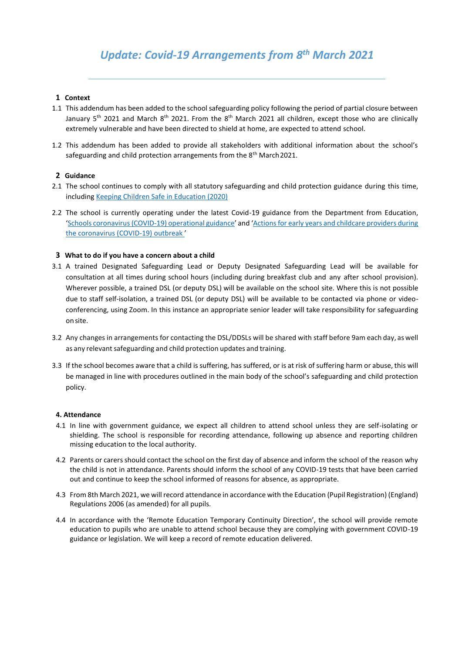# **1 Context**

- 1.1 This addendum has been added to the school safeguarding policy following the period of partial closure between January 5<sup>th</sup> 2021 and March 8<sup>th</sup> 2021. From the 8<sup>th</sup> March 2021 all children, except those who are clinically extremely vulnerable and have been directed to shield at home, are expected to attend school.
- 1.2 This addendum has been added to provide all stakeholders with additional information about the school's safeguarding and child protection arrangements from the 8<sup>th</sup> March 2021.

# **2 Guidance**

- 2.1 The school continues to comply with all statutory safeguarding and child protection guidance during this time, including Keeping Children Safe in Education (2020)
- 2.2 The school is currently operating under the latest Covid-19 guidance from the Department from Educati[on,](https://assets.publishing.service.gov.uk/government/uploads/system/uploads/attachment_data/file/964351/Schools_coronavirus_operational_guidance.pdf)  '[Schools coronavirus \(COVID-19\) operational guidance](https://assets.publishing.service.gov.uk/government/uploads/system/uploads/attachment_data/file/964351/Schools_coronavirus_operational_guidance.pdf)' and '[Actions for early years and childcare providers during](https://assets.publishing.service.gov.uk/government/uploads/system/uploads/attachment_data/file/963510/2020208_actions_for_early_years_and_childcare_providers.pdf)  [the coronavirus \(COVID-19\) outbreak](https://assets.publishing.service.gov.uk/government/uploads/system/uploads/attachment_data/file/963510/2020208_actions_for_early_years_and_childcare_providers.pdf) '

# **3 What to do if you have a concern about a child**

- 3.1 A trained Designated Safeguarding Lead or Deputy Designated Safeguarding Lead will be available for consultation at all times during school hours (including during breakfast club and any after school provision). Wherever possible, a trained DSL (or deputy DSL) will be available on the school site. Where this is not possible due to staff self-isolation, a trained DSL (or deputy DSL) will be available to be contacted via phone or videoconferencing, using Zoom. In this instance an appropriate senior leader will take responsibility for safeguarding on site.
- 3.2 Any changes in arrangements for contacting the DSL/DDSLs will be shared with staff before 9am each day, as well as any relevant safeguarding and child protection updates and training.
- 3.3 If the school becomes aware that a child is suffering, has suffered, or is at risk of suffering harm or abuse, this will be managed in line with procedures outlined in the main body of the school's safeguarding and child protection policy.

## **4. Attendance**

- 4.1 In line with government guidance, we expect all children to attend school unless they are self-isolating or shielding. The school is responsible for recording attendance, following up absence and reporting children missing education to the local authority.
- 4.2 Parents or carersshould contact the school on the first day of absence and inform the school of the reason why the child is not in attendance. Parents should inform the school of any COVID-19 tests that have been carried out and continue to keep the school informed of reasons for absence, as appropriate.
- 4.3 From 8th March 2021, we will record attendance in accordance with the Education (Pupil Registration) (England) Regulations 2006 (as amended) for all pupils.
- 4.4 In accordance with the 'Remote Education Temporary Continuity Direction', the school will provide remote education to pupils who are unable to attend school because they are complying with government COVID-19 guidance or legislation. We will keep a record of remote education delivered.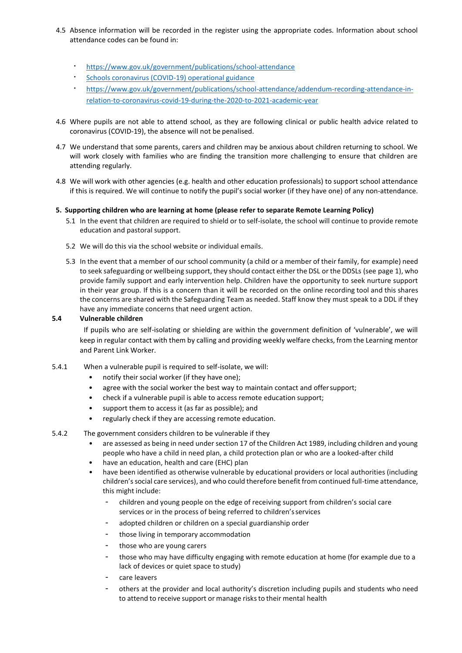- 4.5 Absence information will be recorded in the register using the appropriate codes. Information about school attendance codes can be found in:
	- <https://www.gov.uk/government/publications/school-attendance>
	- [Schools coronavirus \(COVID-19\) operational](https://assets.publishing.service.gov.uk/government/uploads/system/uploads/attachment_data/file/964351/Schools_coronavirus_operational_guidance.pdf) guidance
	- [https://www.gov.uk/government/publications/school-attendance/addendum-recording-attendance-in](https://www.gov.uk/government/publications/school-attendance/addendum-recording-attendance-in-relation-to-coronavirus-covid-19-during-the-2020-to-2021-academic-year)[relation-to-coronavirus-covid-19-during-the-2020-to-2021-academic-year](https://www.gov.uk/government/publications/school-attendance/addendum-recording-attendance-in-relation-to-coronavirus-covid-19-during-the-2020-to-2021-academic-year)
- 4.6 Where pupils are not able to attend school, as they are following clinical or public health advice related to coronavirus (COVID-19), the absence will not be penalised.
- 4.7 We understand that some parents, carers and children may be anxious about children returning to school. We will work closely with families who are finding the transition more challenging to ensure that children are attending regularly.
- 4.8 We will work with other agencies (e.g. health and other education professionals) to support school attendance if this is required. We will continue to notify the pupil's social worker (if they have one) of any non-attendance.

# **5. Supporting children who are learning at home (please refer to separate Remote Learning Policy)**

- 5.1 In the event that children are required to shield or to self-isolate, the school will continue to provide remote education and pastoral support.
- 5.2 We will do this via the school website or individual emails.
- 5.3 In the event that a member of our school community (a child or a member of their family, for example) need to seek safeguarding or wellbeing support, they should contact either the DSL or the DDSLs (see page 1), who provide family support and early intervention help. Children have the opportunity to seek nurture support in their year group. If this is a concern than it will be recorded on the online recording tool and this shares the concerns are shared with the Safeguarding Team as needed. Staff know they must speak to a DDL if they have any immediate concerns that need urgent action.

## **5.4 Vulnerable children**

If pupils who are self-isolating or shielding are within the government definition of 'vulnerable', we will keep in regular contact with them by calling and providing weekly welfare checks, from the Learning mentor and Parent Link Worker.

- 5.4.1 When a vulnerable pupil is required to self-isolate, we will:
	- notify their social worker (if they have one);
	- agree with the social worker the best way to maintain contact and offer support;
	- check if a vulnerable pupil is able to access remote education support;
	- support them to access it (as far as possible); and
	- regularly check if they are accessing remote education.
- 5.4.2 The government considers children to be vulnerable if they
	- are assessed as being in need under section 17 of the Children Act 1989, including children and young people who have a child in need plan, a child protection plan or who are a looked-after child
	- have an education, health and care (EHC) plan
	- have been identified as otherwise vulnerable by educational providers or local authorities (including children's social care services), and who could therefore benefit from continued full-time attendance, this might include:
		- children and young people on the edge of receiving support from children's social care services or in the process of being referred to children'sservices
		- adopted children or children on a special guardianship order
		- those living in temporary accommodation
		- those who are young carers
		- those who may have difficulty engaging with remote education at home (for example due to a lack of devices or quiet space to study)
		- care leavers
		- others at the provider and local authority's discretion including pupils and students who need to attend to receive support or manage risks to their mental health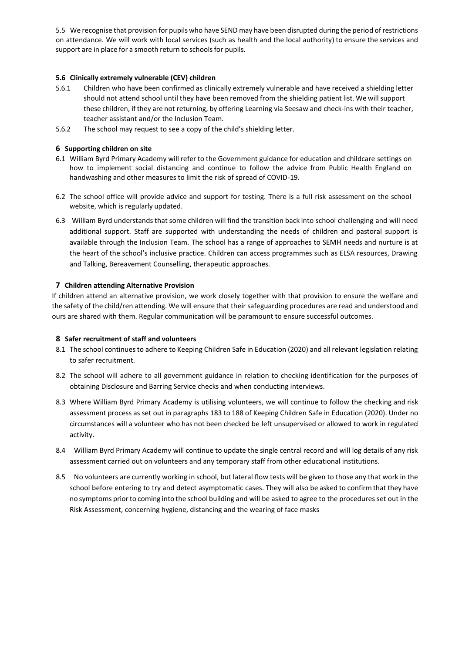5.5 We recognise that provision for pupils who have SEND may have been disrupted during the period of restrictions on attendance. We will work with local services (such as health and the local authority) to ensure the services and support are in place for a smooth return to schools for pupils.

# **5.6 Clinically extremely vulnerable (CEV) children**

- 5.6.1 Children who have been confirmed as clinically extremely vulnerable and have received a shielding letter should not attend school until they have been removed from the shielding patient list. We will support these children, if they are not returning, by offering Learning via Seesaw and check-ins with their teacher, teacher assistant and/or the Inclusion Team.
- 5.6.2 The school may request to see a copy of the child's shielding letter.

# **6 Supporting children on site**

- 6.1 William Byrd Primary Academy will refer to the Government guidance for education and childcare settings on how to implement social distancing and continue to follow the advice from Public Health England on handwashing and other measures to limit the risk of spread of COVID-19.
- 6.2 The school office will provide advice and support for testing. There is a full risk assessment on the school website, which is regularly updated.
- 6.3 William Byrd understands that some children will find the transition back into school challenging and will need additional support. Staff are supported with understanding the needs of children and pastoral support is available through the Inclusion Team. The school has a range of approaches to SEMH needs and nurture is at the heart of the school's inclusive practice. Children can access programmes such as ELSA resources, Drawing and Talking, Bereavement Counselling, therapeutic approaches.

## **7 Children attending Alternative Provision**

If children attend an alternative provision, we work closely together with that provision to ensure the welfare and the safety of the child/ren attending. We will ensure that their safeguarding procedures are read and understood and ours are shared with them. Regular communication will be paramount to ensure successful outcomes.

## **8 Safer recruitment of staff and volunteers**

- 8.1 The school continues to adhere to Keeping Children Safe in Education (2020) and all relevant legislation relating to safer recruitment.
- 8.2 The school will adhere to all government guidance in relation to checking identification for the purposes of obtaining Disclosure and Barring Service checks and when conducting interviews.
- 8.3 Where William Byrd Primary Academy is utilising volunteers, we will continue to follow the checking and risk assessment process as set out in paragraphs 183 to 188 of Keeping Children Safe in Education (2020). Under no circumstances will a volunteer who has not been checked be left unsupervised or allowed to work in regulated activity.
- 8.4 William Byrd Primary Academy will continue to update the single central record and will log details of any risk assessment carried out on volunteers and any temporary staff from other educational institutions.
- 8.5 No volunteers are currently working in school, but lateral flow tests will be given to those any that work in the school before entering to try and detect asymptomatic cases. They will also be asked to confirm that they have no symptoms priorto coming into the school building and will be asked to agree to the procedures set out in the Risk Assessment, concerning hygiene, distancing and the wearing of face masks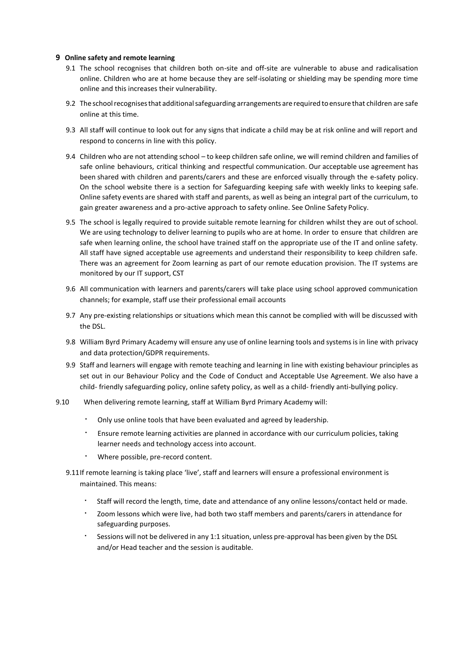## **9 Online safety and remote learning**

- 9.1 The school recognises that children both on-site and off-site are vulnerable to abuse and radicalisation online. Children who are at home because they are self-isolating or shielding may be spending more time online and this increases their vulnerability.
- 9.2 The schoolrecognisesthat additionalsafeguarding arrangements are required toensure that children are safe online at this time.
- 9.3 All staff will continue to look out for any signs that indicate a child may be at risk online and will report and respond to concerns in line with this policy.
- 9.4 Children who are not attending school to keep children safe online, we will remind children and families of safe online behaviours, critical thinking and respectful communication. Our acceptable use agreement has been shared with children and parents/carers and these are enforced visually through the e-safety policy. On the school website there is a section for Safeguarding keeping safe with weekly links to keeping safe. Online safety events are shared with staff and parents, as well as being an integral part of the curriculum, to gain greater awareness and a pro-active approach to safety online. See Online Safety Policy.
- 9.5 The school is legally required to provide suitable remote learning for children whilst they are out of school. We are using technology to deliver learning to pupils who are at home. In order to ensure that children are safe when learning online, the school have trained staff on the appropriate use of the IT and online safety. All staff have signed acceptable use agreements and understand their responsibility to keep children safe. There was an agreement for Zoom learning as part of our remote education provision. The IT systems are monitored by our IT support, CST
- 9.6 All communication with learners and parents/carers will take place using school approved communication channels; for example, staff use their professional email accounts
- 9.7 Any pre-existing relationships or situations which mean this cannot be complied with will be discussed with the DSL.
- 9.8 William Byrd Primary Academy will ensure any use of online learning tools and systemsisin line with privacy and data protection/GDPR requirements.
- 9.9 Staff and learners will engage with remote teaching and learning in line with existing behaviour principles as set out in our Behaviour Policy and the Code of Conduct and Acceptable Use Agreement. We also have a child- friendly safeguarding policy, online safety policy, as well as a child- friendly anti-bullying policy.
- 9.10 When delivering remote learning, staff at William Byrd Primary Academy will:
	- Only use online tools that have been evaluated and agreed by leadership.
	- Ensure remote learning activities are planned in accordance with our curriculum policies, taking learner needs and technology access into account.
	- Where possible, pre-record content.
	- 9.11If remote learning is taking place 'live', staff and learners will ensure a professional environment is maintained. This means:
		- Staff will record the length, time, date and attendance of any online lessons/contact held or made.
		- Zoom lessons which were live, had both two staff members and parents/carers in attendance for safeguarding purposes.
		- Sessions will not be delivered in any 1:1 situation, unless pre-approval has been given by the DSL and/or Head teacher and the session is auditable.